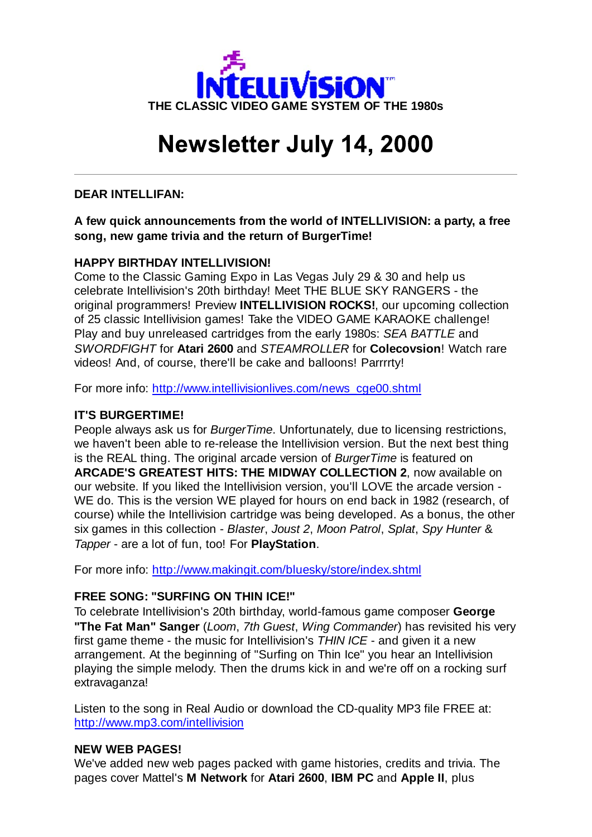

# **Newsletter July 14, 2000**

## **DEAR INTELLIFAN:**

## **A few quick announcements from the world of INTELLIVISION: a party, a free song, new game trivia and the return of BurgerTime!**

### **HAPPY BIRTHDAY INTELLIVISION!**

Come to the Classic Gaming Expo in Las Vegas July 29 & 30 and help us celebrate Intellivision's 20th birthday! Meet THE BLUE SKY RANGERS - the original programmers! Preview **INTELLIVISION ROCKS!**, our upcoming collection of 25 classic Intellivision games! Take the VIDEO GAME KARAOKE challenge! Play and buy unreleased cartridges from the early 1980s: *SEA BATTLE* and *SWORDFIGHT* for **Atari 2600** and *STEAMROLLER* for **Colecovsion**! Watch rare videos! And, of course, there'll be cake and balloons! Parrrrty!

For more info: http://www.intellivisionlives.com/news\_cge00.shtml

#### **IT'S BURGERTIME!**

People always ask us for *BurgerTime*. Unfortunately, due to licensing restrictions, we haven't been able to re-release the Intellivision version. But the next best thing is the REAL thing. The original arcade version of *BurgerTime* is featured on **ARCADE'S GREATEST HITS: THE MIDWAY COLLECTION 2**, now available on our website. If you liked the Intellivision version, you'll LOVE the arcade version - WE do. This is the version WE played for hours on end back in 1982 (research, of course) while the Intellivision cartridge was being developed. As a bonus, the other six games in this collection - *Blaster*, *Joust 2*, *Moon Patrol*, *Splat*, *Spy Hunter* & *Tapper* - are a lot of fun, too! For **PlayStation**.

For more info: http://www.makingit.com/bluesky/store/index.shtml

#### **FREE SONG: "SURFING ON THIN ICE!"**

To celebrate Intellivision's 20th birthday, world-famous game composer **George "The Fat Man" Sanger** (*Loom*, *7th Guest*, *Wing Commander*) has revisited his very first game theme - the music for Intellivision's *THIN ICE* - and given it a new arrangement. At the beginning of "Surfing on Thin Ice" you hear an Intellivision playing the simple melody. Then the drums kick in and we're off on a rocking surf extravaganza!

Listen to the song in Real Audio or download the CD-quality MP3 file FREE at: http://www.mp3.com/intellivision

#### **NEW WEB PAGES!**

We've added new web pages packed with game histories, credits and trivia. The pages cover Mattel's **M Network** for **Atari 2600**, **IBM PC** and **Apple II**, plus